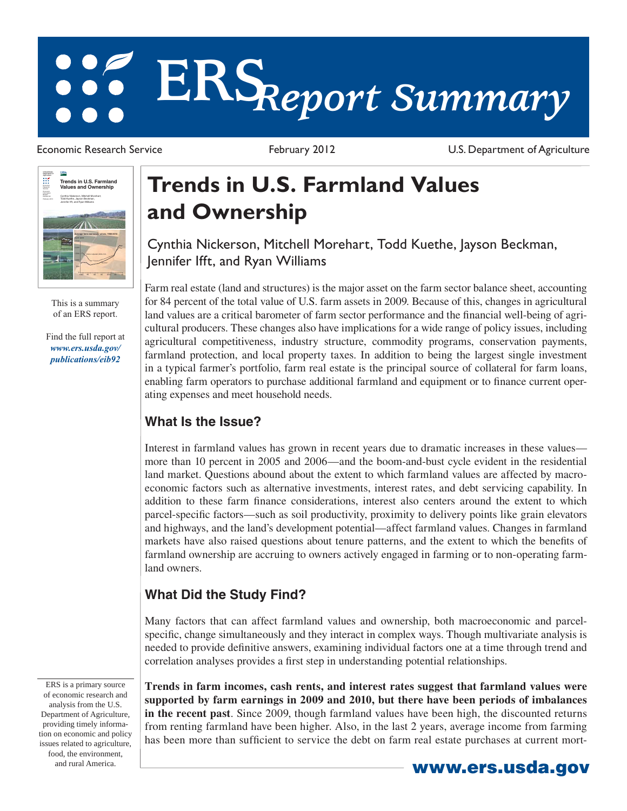# **ERS***Report Summary*

 $150A$ </u> **United States Department of Agriculture**  $\mathbb H$ **Trends in U.S. Farmland Values and Ownership** Research Service Economic Information Bulletin Number 92 February 2012 Cynthia Nickerson, Mitchell Morehart, Todd Kuethe, Jayson Beckman, Jennifer Ifft, and Ryan Williams **Average farm real estate values, 1980-2010**  2,500 1980 85 90 95 2000 05 10

> This is a summary of an ERS report.

Find the full report at *www.ers.usda.gov/ publications/eib92*

Economic Research Service **February 2012** February 2012 U.S. Department of Agriculture

## **Trends in U.S. Farmland Values and Ownership**

Cynthia Nickerson, Mitchell Morehart, Todd Kuethe, Jayson Beckman, Jennifer Ifft, and Ryan Williams

Farm real estate (land and structures) is the major asset on the farm sector balance sheet, accounting for 84 percent of the total value of U.S. farm assets in 2009. Because of this, changes in agricultural land values are a critical barometer of farm sector performance and the financial well-being of agricultural producers. These changes also have implications for a wide range of policy issues, including agricultural competitiveness, industry structure, commodity programs, conservation payments, farmland protection, and local property taxes. In addition to being the largest single investment in a typical farmer's portfolio, farm real estate is the principal source of collateral for farm loans, enabling farm operators to purchase additional farmland and equipment or to finance current operating expenses and meet household needs.

### **What Is the Issue?**

Interest in farmland values has grown in recent years due to dramatic increases in these values more than 10 percent in 2005 and 2006—and the boom-and-bust cycle evident in the residential land market. Questions abound about the extent to which farmland values are affected by macroeconomic factors such as alternative investments, interest rates, and debt servicing capability. In addition to these farm finance considerations, interest also centers around the extent to which parcel-specific factors—such as soil productivity, proximity to delivery points like grain elevators and highways, and the land's development potential—affect farmland values. Changes in farmland markets have also raised questions about tenure patterns, and the extent to which the benefits of farmland ownership are accruing to owners actively engaged in farming or to non-operating farmland owners.

#### **What Did the Study Find?**

Many factors that can affect farmland values and ownership, both macroeconomic and parcelspecific, change simultaneously and they interact in complex ways. Though multivariate analysis is needed to provide definitive answers, examining individual factors one at a time through trend and correlation analyses provides a first step in understanding potential relationships.

ERS is a primary source of economic research and analysis from the U.S. Department of Agriculture, providing timely information on economic and policy issues related to agriculture, food, the environment,

**Trends in farm incomes, cash rents, and interest rates suggest that farmland values were supported by farm earnings in 2009 and 2010, but there have been periods of imbalances in the recent past**. Since 2009, though farmland values have been high, the discounted returns from renting farmland have been higher. Also, in the last 2 years, average income from farming has been more than sufficient to service the debt on farm real estate purchases at current mort-